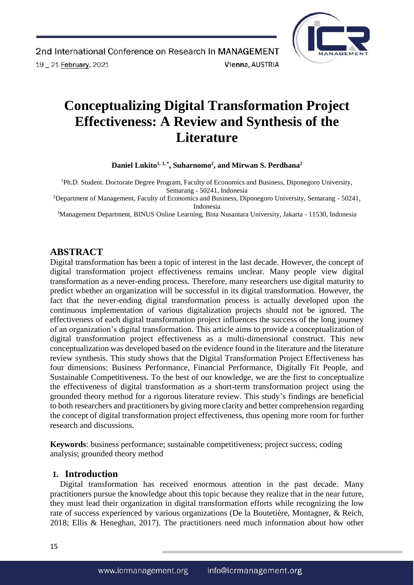

# **Conceptualizing Digital Transformation Project Effectiveness: A Review and Synthesis of the Literature**

**Daniel Lukito1, 3, \*, Suharnomo<sup>2</sup> , and Mirwan S. Perdhana<sup>2</sup>**

<sup>1</sup>Ph.D. Student. Doctorate Degree Program, Faculty of Economics and Business, Diponegoro University, Semarang - 50241, Indonesia

<sup>2</sup>Department of Management, Faculty of Economics and Business, Diponegoro University, Semarang - 50241, Indonesia

<sup>3</sup>Management Department, BINUS Online Learning, Bina Nusantara University, Jakarta - 11530, Indonesia

# **ABSTRACT**

Digital transformation has been a topic of interest in the last decade. However, the concept of digital transformation project effectiveness remains unclear. Many people view digital transformation as a never-ending process. Therefore, many researchers use digital maturity to predict whether an organization will be successful in its digital transformation. However, the fact that the never-ending digital transformation process is actually developed upon the continuous implementation of various digitalization projects should not be ignored. The effectiveness of each digital transformation project influences the success of the long journey of an organization's digital transformation. This article aims to provide a conceptualization of digital transformation project effectiveness as a multi-dimensional construct. This new conceptualization was developed based on the evidence found in the literature and the literature review synthesis. This study shows that the Digital Transformation Project Effectiveness has four dimensions: Business Performance, Financial Performance, Digitally Fit People, and Sustainable Competitiveness. To the best of our knowledge, we are the first to conceptualize the effectiveness of digital transformation as a short-term transformation project using the grounded theory method for a rigorous literature review. This study's findings are beneficial to both researchers and practitioners by giving more clarity and better comprehension regarding the concept of digital transformation project effectiveness, thus opening more room for further research and discussions.

**Keywords**: business performance; sustainable competitiveness; project success; coding analysis; grounded theory method

## **1. Introduction**

Digital transformation has received enormous attention in the past decade. Many practitioners pursue the knowledge about this topic because they realize that in the near future, they must lead their organization in digital transformation efforts while recognizing the low rate of success experienced by various organizations (De la Boutetière, Montagner, & Reich, 2018; Ellis & Heneghan, 2017). The practitioners need much information about how other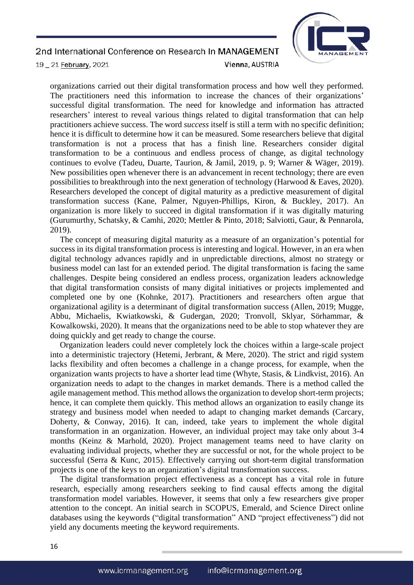

19 \_ 21 February, 2021

Vienna, AUSTRIA

organizations carried out their digital transformation process and how well they performed. The practitioners need this information to increase the chances of their organizations' successful digital transformation. The need for knowledge and information has attracted researchers' interest to reveal various things related to digital transformation that can help practitioners achieve success. The word *success* itself is still a term with no specific definition; hence it is difficult to determine how it can be measured. Some researchers believe that digital transformation is not a process that has a finish line. Researchers consider digital transformation to be a continuous and endless process of change, as digital technology continues to evolve (Tadeu, Duarte, Taurion, & Jamil, 2019, p. 9; Warner & Wäger, 2019). New possibilities open whenever there is an advancement in recent technology; there are even possibilities to breakthrough into the next generation of technology (Harwood & Eaves, 2020). Researchers developed the concept of digital maturity as a predictive measurement of digital transformation success (Kane, Palmer, Nguyen-Phillips, Kiron, & Buckley, 2017). An organization is more likely to succeed in digital transformation if it was digitally maturing (Gurumurthy, Schatsky, & Camhi, 2020; Mettler & Pinto, 2018; Salviotti, Gaur, & Pennarola, 2019).

The concept of measuring digital maturity as a measure of an organization's potential for success in its digital transformation process is interesting and logical. However, in an era when digital technology advances rapidly and in unpredictable directions, almost no strategy or business model can last for an extended period. The digital transformation is facing the same challenges. Despite being considered an endless process, organization leaders acknowledge that digital transformation consists of many digital initiatives or projects implemented and completed one by one (Kohnke, 2017). Practitioners and researchers often argue that organizational agility is a determinant of digital transformation success (Allen, 2019; Mugge, Abbu, Michaelis, Kwiatkowski, & Gudergan, 2020; Tronvoll, Sklyar, Sörhammar, & Kowalkowski, 2020). It means that the organizations need to be able to stop whatever they are doing quickly and get ready to change the course.

Organization leaders could never completely lock the choices within a large-scale project into a deterministic trajectory (Hetemi, Jerbrant, & Mere, 2020). The strict and rigid system lacks flexibility and often becomes a challenge in a change process, for example, when the organization wants projects to have a shorter lead time (Whyte, Stasis, & Lindkvist, 2016). An organization needs to adapt to the changes in market demands. There is a method called the agile management method. This method allows the organization to develop short-term projects; hence, it can complete them quickly. This method allows an organization to easily change its strategy and business model when needed to adapt to changing market demands (Carcary, Doherty, & Conway, 2016). It can, indeed, take years to implement the whole digital transformation in an organization. However, an individual project may take only about 3-4 months (Keinz & Marhold, 2020). Project management teams need to have clarity on evaluating individual projects, whether they are successful or not, for the whole project to be successful (Serra & Kunc, 2015). Effectively carrying out short-term digital transformation projects is one of the keys to an organization's digital transformation success.

The digital transformation project effectiveness as a concept has a vital role in future research, especially among researchers seeking to find causal effects among the digital transformation model variables. However, it seems that only a few researchers give proper attention to the concept. An initial search in SCOPUS, Emerald, and Science Direct online databases using the keywords ("digital transformation" AND "project effectiveness") did not yield any documents meeting the keyword requirements.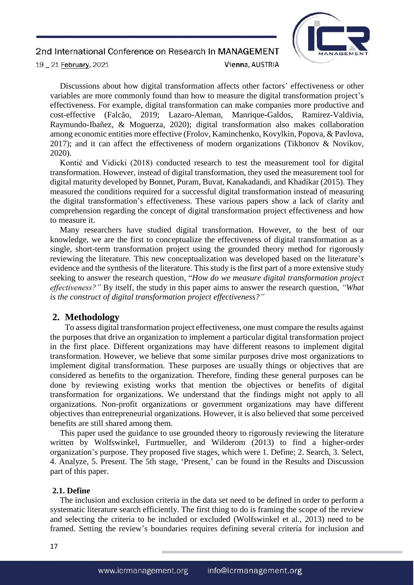

Discussions about how digital transformation affects other factors' effectiveness or other variables are more commonly found than how to measure the digital transformation project's effectiveness. For example, digital transformation can make companies more productive and cost-effective (Falcão, 2019; Lazaro-Aleman, Manrique-Galdos, Ramirez-Valdivia, Raymundo-Ibañez, & Moguerza, 2020); digital transformation also makes collaboration among economic entities more effective (Frolov, Kaminchenko, Kovylkin, Popova, & Pavlova, 2017); and it can affect the effectiveness of modern organizations (Tikhonov & Novikov, 2020).

Kontić and Vidicki (2018) conducted research to test the measurement tool for digital transformation. However, instead of digital transformation, they used the measurement tool for digital maturity developed by Bonnet, Puram, Buvat, Kanakadandi, and Khadikar (2015). They measured the conditions required for a successful digital transformation instead of measuring the digital transformation's effectiveness. These various papers show a lack of clarity and comprehension regarding the concept of digital transformation project effectiveness and how to measure it.

Many researchers have studied digital transformation. However, to the best of our knowledge, we are the first to conceptualize the effectiveness of digital transformation as a single, short-term transformation project using the grounded theory method for rigorously reviewing the literature. This new conceptualization was developed based on the literature's evidence and the synthesis of the literature. This study is the first part of a more extensive study seeking to answer the research question, "*How do we measure digital transformation project effectiveness?"* By itself, the study in this paper aims to answer the research question, *"What is the construct of digital transformation project effectiveness?"*

## **2. Methodology**

To assess digital transformation project effectiveness, one must compare the results against the purposes that drive an organization to implement a particular digital transformation project in the first place. Different organizations may have different reasons to implement digital transformation. However, we believe that some similar purposes drive most organizations to implement digital transformation. These purposes are usually things or objectives that are considered as benefits to the organization. Therefore, finding these general purposes can be done by reviewing existing works that mention the objectives or benefits of digital transformation for organizations. We understand that the findings might not apply to all organizations. Non-profit organizations or government organizations may have different objectives than entrepreneurial organizations. However, it is also believed that some perceived benefits are still shared among them.

This paper used the guidance to use grounded theory to rigorously reviewing the literature written by Wolfswinkel, Furtmueller, and Wilderom (2013) to find a higher-order organization's purpose. They proposed five stages, which were 1. Define; 2. Search, 3. Select, 4. Analyze, 5. Present. The 5th stage, 'Present,' can be found in the Results and Discussion part of this paper.

#### **2.1. Define**

The inclusion and exclusion criteria in the data set need to be defined in order to perform a systematic literature search efficiently. The first thing to do is framing the scope of the review and selecting the criteria to be included or excluded (Wolfswinkel et al., 2013) need to be framed. Setting the review's boundaries requires defining several criteria for inclusion and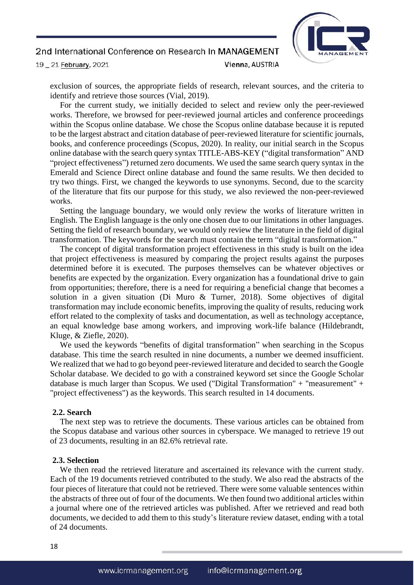

exclusion of sources, the appropriate fields of research, relevant sources, and the criteria to identify and retrieve those sources (Vial, 2019).

For the current study, we initially decided to select and review only the peer-reviewed works. Therefore, we browsed for peer-reviewed journal articles and conference proceedings within the Scopus online database. We chose the Scopus online database because it is reputed to be the largest abstract and citation database of peer-reviewed literature for scientific journals, books, and conference proceedings (Scopus, 2020). In reality, our initial search in the Scopus online database with the search query syntax TITLE-ABS-KEY ("digital transformation" AND "project effectiveness") returned zero documents. We used the same search query syntax in the Emerald and Science Direct online database and found the same results. We then decided to try two things. First, we changed the keywords to use synonyms. Second, due to the scarcity of the literature that fits our purpose for this study, we also reviewed the non-peer-reviewed works.

Setting the language boundary, we would only review the works of literature written in English. The English language is the only one chosen due to our limitations in other languages. Setting the field of research boundary, we would only review the literature in the field of digital transformation. The keywords for the search must contain the term "digital transformation."

The concept of digital transformation project effectiveness in this study is built on the idea that project effectiveness is measured by comparing the project results against the purposes determined before it is executed. The purposes themselves can be whatever objectives or benefits are expected by the organization. Every organization has a foundational drive to gain from opportunities; therefore, there is a need for requiring a beneficial change that becomes a solution in a given situation (Di Muro & Turner, 2018). Some objectives of digital transformation may include economic benefits, improving the quality of results, reducing work effort related to the complexity of tasks and documentation, as well as technology acceptance, an equal knowledge base among workers, and improving work-life balance (Hildebrandt, Kluge, & Ziefle, 2020).

We used the keywords "benefits of digital transformation" when searching in the Scopus database. This time the search resulted in nine documents, a number we deemed insufficient. We realized that we had to go beyond peer-reviewed literature and decided to search the Google Scholar database. We decided to go with a constrained keyword set since the Google Scholar database is much larger than Scopus. We used ("Digital Transformation" + "measurement" + "project effectiveness") as the keywords. This search resulted in 14 documents.

#### **2.2. Search**

The next step was to retrieve the documents. These various articles can be obtained from the Scopus database and various other sources in cyberspace. We managed to retrieve 19 out of 23 documents, resulting in an 82.6% retrieval rate.

#### **2.3. Selection**

We then read the retrieved literature and ascertained its relevance with the current study. Each of the 19 documents retrieved contributed to the study. We also read the abstracts of the four pieces of literature that could not be retrieved. There were some valuable sentences within the abstracts of three out of four of the documents. We then found two additional articles within a journal where one of the retrieved articles was published. After we retrieved and read both documents, we decided to add them to this study's literature review dataset, ending with a total of 24 documents.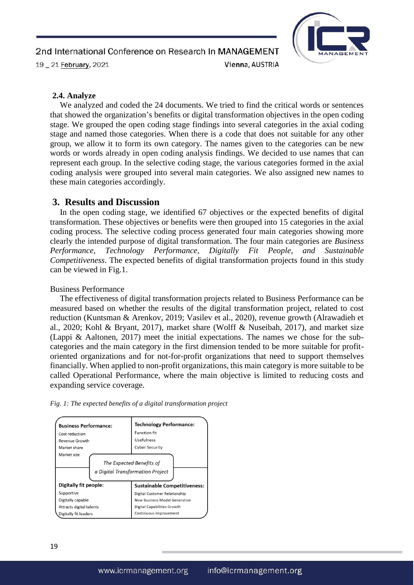

## **2.4. Analyze**

We analyzed and coded the 24 documents. We tried to find the critical words or sentences that showed the organization's benefits or digital transformation objectives in the open coding stage. We grouped the open coding stage findings into several categories in the axial coding stage and named those categories. When there is a code that does not suitable for any other group, we allow it to form its own category. The names given to the categories can be new words or words already in open coding analysis findings. We decided to use names that can represent each group. In the selective coding stage, the various categories formed in the axial coding analysis were grouped into several main categories. We also assigned new names to these main categories accordingly.

# **3. Results and Discussion**

In the open coding stage, we identified 67 objectives or the expected benefits of digital transformation. These objectives or benefits were then grouped into 15 categories in the axial coding process. The selective coding process generated four main categories showing more clearly the intended purpose of digital transformation. The four main categories are *Business Performance, Technology Performance, Digitally Fit People, and Sustainable Competitiveness*. The expected benefits of digital transformation projects found in this study can be viewed in Fig.1.

#### Business Performance

The effectiveness of digital transformation projects related to Business Performance can be measured based on whether the results of the digital transformation project, related to cost reduction (Kuntsman & Arenkov, 2019; Vasilev et al., 2020), revenue growth (Alrawadieh et al., 2020; Kohl & Bryant, 2017), market share (Wolff & Nuseibah, 2017), and market size (Lappi & Aaltonen, 2017) meet the initial expectations. The names we chose for the subcategories and the main category in the first dimension tended to be more suitable for profitoriented organizations and for not-for-profit organizations that need to support themselves financially. When applied to non-profit organizations, this main category is more suitable to be called Operational Performance, where the main objective is limited to reducing costs and expanding service coverage.



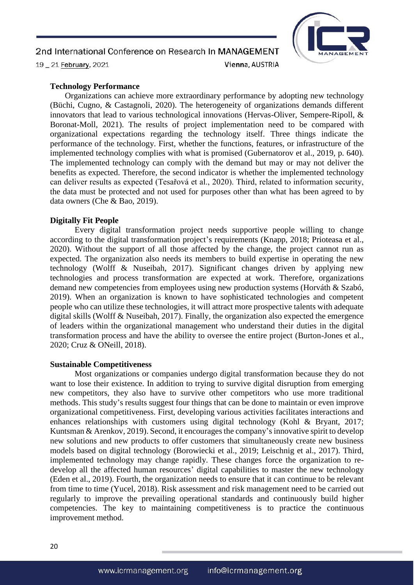

19 \_ 21 February, 2021

Vienna, AUSTRIA

## **Technology Performance**

Organizations can achieve more extraordinary performance by adopting new technology (Büchi, Cugno, & Castagnoli, 2020). The heterogeneity of organizations demands different innovators that lead to various technological innovations (Hervas-Oliver, Sempere-Ripoll, & Boronat-Moll, 2021). The results of project implementation need to be compared with organizational expectations regarding the technology itself. Three things indicate the performance of the technology. First, whether the functions, features, or infrastructure of the implemented technology complies with what is promised (Gubernatorov et al., 2019, p. 640). The implemented technology can comply with the demand but may or may not deliver the benefits as expected. Therefore, the second indicator is whether the implemented technology can deliver results as expected (Tesařová et al., 2020). Third, related to information security, the data must be protected and not used for purposes other than what has been agreed to by data owners (Che & Bao, 2019).

## **Digitally Fit People**

Every digital transformation project needs supportive people willing to change according to the digital transformation project's requirements (Knapp, 2018; Prioteasa et al., 2020). Without the support of all those affected by the change, the project cannot run as expected. The organization also needs its members to build expertise in operating the new technology (Wolff & Nuseibah, 2017). Significant changes driven by applying new technologies and process transformation are expected at work. Therefore, organizations demand new competencies from employees using new production systems (Horváth & Szabó, 2019). When an organization is known to have sophisticated technologies and competent people who can utilize these technologies, it will attract more prospective talents with adequate digital skills (Wolff & Nuseibah, 2017). Finally, the organization also expected the emergence of leaders within the organizational management who understand their duties in the digital transformation process and have the ability to oversee the entire project (Burton-Jones et al., 2020; Cruz & ONeill, 2018).

#### **Sustainable Competitiveness**

Most organizations or companies undergo digital transformation because they do not want to lose their existence. In addition to trying to survive digital disruption from emerging new competitors, they also have to survive other competitors who use more traditional methods. This study's results suggest four things that can be done to maintain or even improve organizational competitiveness. First, developing various activities facilitates interactions and enhances relationships with customers using digital technology (Kohl & Bryant, 2017; Kuntsman & Arenkov, 2019). Second, it encourages the company's innovative spirit to develop new solutions and new products to offer customers that simultaneously create new business models based on digital technology (Borowiecki et al., 2019; Leischnig et al., 2017). Third, implemented technology may change rapidly. These changes force the organization to redevelop all the affected human resources' digital capabilities to master the new technology (Eden et al., 2019). Fourth, the organization needs to ensure that it can continue to be relevant from time to time (Yucel, 2018). Risk assessment and risk management need to be carried out regularly to improve the prevailing operational standards and continuously build higher competencies. The key to maintaining competitiveness is to practice the continuous improvement method.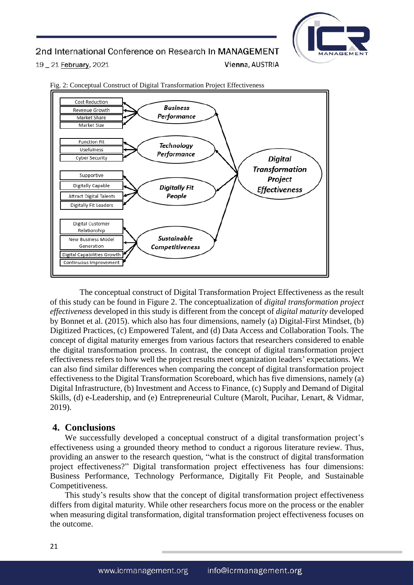

19 \_ 21 February, 2021

Vienna, AUSTRIA



Fig. 2: Conceptual Construct of Digital Transformation Project Effectiveness

The conceptual construct of Digital Transformation Project Effectiveness as the result of this study can be found in Figure 2. The conceptualization of *digital transformation project effectiveness* developed in this study is different from the concept of *digital maturity* developed by Bonnet et al. (2015). which also has four dimensions, namely (a) Digital-First Mindset, (b) Digitized Practices, (c) Empowered Talent, and (d) Data Access and Collaboration Tools. The concept of digital maturity emerges from various factors that researchers considered to enable the digital transformation process. In contrast, the concept of digital transformation project effectiveness refers to how well the project results meet organization leaders' expectations. We can also find similar differences when comparing the concept of digital transformation project effectiveness to the Digital Transformation Scoreboard, which has five dimensions, namely (a) Digital Infrastructure, (b) Investment and Access to Finance, (c) Supply and Demand of Digital Skills, (d) e-Leadership, and (e) Entrepreneurial Culture (Marolt, Pucihar, Lenart, & Vidmar, 2019).

## **4. Conclusions**

We successfully developed a conceptual construct of a digital transformation project's effectiveness using a grounded theory method to conduct a rigorous literature review. Thus, providing an answer to the research question, "what is the construct of digital transformation project effectiveness?" Digital transformation project effectiveness has four dimensions: Business Performance, Technology Performance, Digitally Fit People, and Sustainable Competitiveness.

This study's results show that the concept of digital transformation project effectiveness differs from digital maturity. While other researchers focus more on the process or the enabler when measuring digital transformation, digital transformation project effectiveness focuses on the outcome.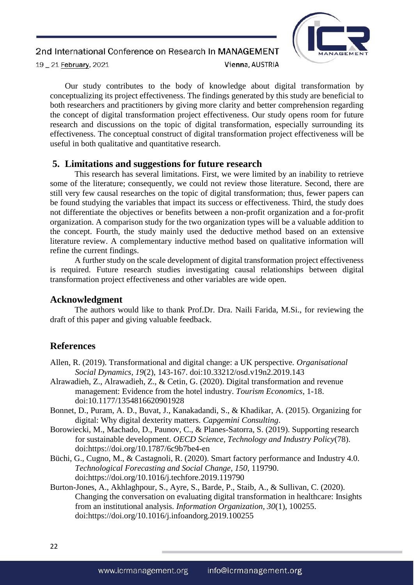

Our study contributes to the body of knowledge about digital transformation by conceptualizing its project effectiveness. The findings generated by this study are beneficial to both researchers and practitioners by giving more clarity and better comprehension regarding the concept of digital transformation project effectiveness. Our study opens room for future research and discussions on the topic of digital transformation, especially surrounding its effectiveness. The conceptual construct of digital transformation project effectiveness will be useful in both qualitative and quantitative research.

# **5. Limitations and suggestions for future research**

This research has several limitations. First, we were limited by an inability to retrieve some of the literature; consequently, we could not review those literature. Second, there are still very few causal researches on the topic of digital transformation; thus, fewer papers can be found studying the variables that impact its success or effectiveness. Third, the study does not differentiate the objectives or benefits between a non-profit organization and a for-profit organization. A comparison study for the two organization types will be a valuable addition to the concept. Fourth, the study mainly used the deductive method based on an extensive literature review. A complementary inductive method based on qualitative information will refine the current findings.

A further study on the scale development of digital transformation project effectiveness is required. Future research studies investigating causal relationships between digital transformation project effectiveness and other variables are wide open.

## **Acknowledgment**

The authors would like to thank Prof.Dr. Dra. Naili Farida, M.Si., for reviewing the draft of this paper and giving valuable feedback.

## **References**

- Allen, R. (2019). Transformational and digital change: a UK perspective. *Organisational Social Dynamics, 19*(2), 143-167. doi:10.33212/osd.v19n2.2019.143
- Alrawadieh, Z., Alrawadieh, Z., & Cetin, G. (2020). Digital transformation and revenue management: Evidence from the hotel industry. *Tourism Economics*, 1-18. doi:10.1177/1354816620901928
- Bonnet, D., Puram, A. D., Buvat, J., Kanakadandi, S., & Khadikar, A. (2015). Organizing for digital: Why digital dexterity matters. *Capgemini Consulting*.
- Borowiecki, M., Machado, D., Paunov, C., & Planes-Satorra, S. (2019). Supporting research for sustainable development. *OECD Science, Technology and Industry Policy*(78). doi:https://doi.org/10.1787/6c9b7be4-en
- Büchi, G., Cugno, M., & Castagnoli, R. (2020). Smart factory performance and Industry 4.0. *Technological Forecasting and Social Change, 150*, 119790. doi:https://doi.org/10.1016/j.techfore.2019.119790
- Burton-Jones, A., Akhlaghpour, S., Ayre, S., Barde, P., Staib, A., & Sullivan, C. (2020). Changing the conversation on evaluating digital transformation in healthcare: Insights from an institutional analysis. *Information Organization, 30*(1), 100255. doi:https://doi.org/10.1016/j.infoandorg.2019.100255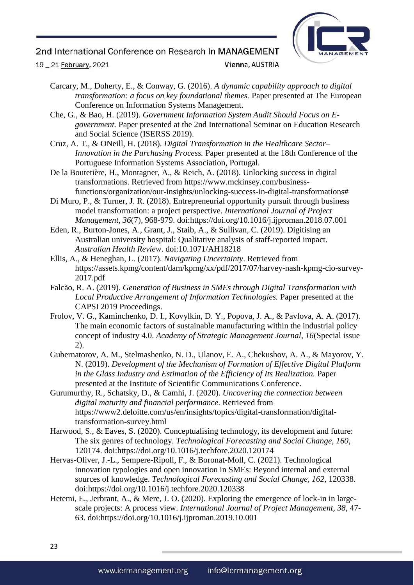

19 \_ 21 February, 2021

Vienna, AUSTRIA

Carcary, M., Doherty, E., & Conway, G. (2016). *A dynamic capability approach to digital transformation: a focus on key foundational themes.* Paper presented at The European Conference on Information Systems Management.

Che, G., & Bao, H. (2019). *Government Information System Audit Should Focus on Egovernment.* Paper presented at the 2nd International Seminar on Education Research and Social Science (ISERSS 2019).

Cruz, A. T., & ONeill, H. (2018). *Digital Transformation in the Healthcare Sector– Innovation in the Purchasing Process.* Paper presented at the 18th Conference of the Portuguese Information Systems Association, Portugal.

De la Boutetière, H., Montagner, A., & Reich, A. (2018). Unlocking success in digital transformations. Retrieved from https://www.mckinsey.com/businessfunctions/organization/our-insights/unlocking-success-in-digital-transformations#

Di Muro, P., & Turner, J. R. (2018). Entrepreneurial opportunity pursuit through business model transformation: a project perspective. *International Journal of Project Management, 36*(7), 968-979. doi:https://doi.org/10.1016/j.ijproman.2018.07.001

Eden, R., Burton-Jones, A., Grant, J., Staib, A., & Sullivan, C. (2019). Digitising an Australian university hospital: Qualitative analysis of staff-reported impact. *Australian Health Review*. doi:10.1071/AH18218

Ellis, A., & Heneghan, L. (2017). *Navigating Uncertainty*. Retrieved from https://assets.kpmg/content/dam/kpmg/xx/pdf/2017/07/harvey-nash-kpmg-cio-survey-2017.pdf

Falcão, R. A. (2019). *Generation of Business in SMEs through Digital Transformation with Local Productive Arrangement of Information Technologies.* Paper presented at the CAPSI 2019 Proceedings.

Frolov, V. G., Kaminchenko, D. I., Kovylkin, D. Y., Popova, J. A., & Pavlova, A. A. (2017). The main economic factors of sustainable manufacturing within the industrial policy concept of industry 4.0. *Academy of Strategic Management Journal, 16*(Special issue 2).

Gubernatorov, A. M., Stelmashenko, N. D., Ulanov, E. A., Chekushov, A. A., & Mayorov, Y. N. (2019). *Development of the Mechanism of Formation of Effective Digital Platform in the Glass Industry and Estimation of the Efficiency of Its Realization.* Paper presented at the Institute of Scientific Communications Conference.

Gurumurthy, R., Schatsky, D., & Camhi, J. (2020). *Uncovering the connection between digital maturity and financial performance*. Retrieved from https://www2.deloitte.com/us/en/insights/topics/digital-transformation/digitaltransformation-survey.html

Harwood, S., & Eaves, S. (2020). Conceptualising technology, its development and future: The six genres of technology. *Technological Forecasting and Social Change, 160*, 120174. doi:https://doi.org/10.1016/j.techfore.2020.120174

Hervas-Oliver, J.-L., Sempere-Ripoll, F., & Boronat-Moll, C. (2021). Technological innovation typologies and open innovation in SMEs: Beyond internal and external sources of knowledge. *Technological Forecasting and Social Change, 162*, 120338. doi:https://doi.org/10.1016/j.techfore.2020.120338

Hetemi, E., Jerbrant, A., & Mere, J. O. (2020). Exploring the emergence of lock-in in largescale projects: A process view. *International Journal of Project Management, 38*, 47- 63. doi:https://doi.org/10.1016/j.ijproman.2019.10.001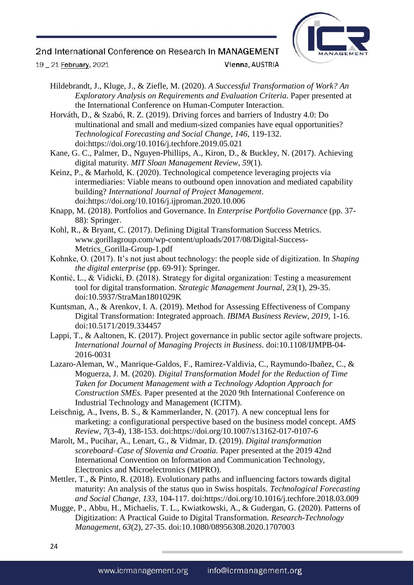

19 \_ 21 February, 2021

## Vienna, AUSTRIA

Hildebrandt, J., Kluge, J., & Ziefle, M. (2020). *A Successful Transformation of Work? An Exploratory Analysis on Requirements and Evaluation Criteria.* Paper presented at the International Conference on Human-Computer Interaction.

Horváth, D., & Szabó, R. Z. (2019). Driving forces and barriers of Industry 4.0: Do multinational and small and medium-sized companies have equal opportunities? *Technological Forecasting and Social Change, 146*, 119-132. doi:https://doi.org/10.1016/j.techfore.2019.05.021

- Kane, G. C., Palmer, D., Nguyen-Phillips, A., Kiron, D., & Buckley, N. (2017). Achieving digital maturity. *MIT Sloan Management Review, 59*(1).
- Keinz, P., & Marhold, K. (2020). Technological competence leveraging projects via intermediaries: Viable means to outbound open innovation and mediated capability building? *International Journal of Project Management*. doi:https://doi.org/10.1016/j.ijproman.2020.10.006
- Knapp, M. (2018). Portfolios and Governance. In *Enterprise Portfolio Governance* (pp. 37- 88): Springer.
- Kohl, R., & Bryant, C. (2017). Defining Digital Transformation Success Metrics. www.gorillagroup.com/wp-content/uploads/2017/08/Digital-Success-Metrics\_Gorilla-Group-1.pdf
- Kohnke, O. (2017). It's not just about technology: the people side of digitization. In *Shaping the digital enterprise* (pp. 69-91): Springer.
- Kontić, L., & Vidicki, Đ. (2018). Strategy for digital organization: Testing a measurement tool for digital transformation. *Strategic Management Journal, 23*(1), 29-35. doi:10.5937/StraMan1801029K
- Kuntsman, A., & Arenkov, I. A. (2019). Method for Assessing Effectiveness of Company Digital Transformation: Integrated approach. *IBIMA Business Review, 2019*, 1-16. doi:10.5171/2019.334457
- Lappi, T., & Aaltonen, K. (2017). Project governance in public sector agile software projects. *International Journal of Managing Projects in Business*. doi:10.1108/IJMPB-04- 2016-0031
- Lazaro-Aleman, W., Manrique-Galdos, F., Ramirez-Valdivia, C., Raymundo-Ibañez, C., & Moguerza, J. M. (2020). *Digital Transformation Model for the Reduction of Time Taken for Document Management with a Technology Adoption Approach for Construction SMEs.* Paper presented at the 2020 9th International Conference on Industrial Technology and Management (ICITM).
- Leischnig, A., Ivens, B. S., & Kammerlander, N. (2017). A new conceptual lens for marketing: a configurational perspective based on the business model concept. *AMS Review, 7*(3-4), 138-153. doi:https://doi.org/10.1007/s13162-017-0107-6
- Marolt, M., Pucihar, A., Lenart, G., & Vidmar, D. (2019). *Digital transformation scoreboard–Case of Slovenia and Croatia.* Paper presented at the 2019 42nd International Convention on Information and Communication Technology, Electronics and Microelectronics (MIPRO).
- Mettler, T., & Pinto, R. (2018). Evolutionary paths and influencing factors towards digital maturity: An analysis of the status quo in Swiss hospitals. *Technological Forecasting and Social Change, 133*, 104-117. doi:https://doi.org/10.1016/j.techfore.2018.03.009
- Mugge, P., Abbu, H., Michaelis, T. L., Kwiatkowski, A., & Gudergan, G. (2020). Patterns of Digitization: A Practical Guide to Digital Transformation. *Research-Technology Management, 63*(2), 27-35. doi:10.1080/08956308.2020.1707003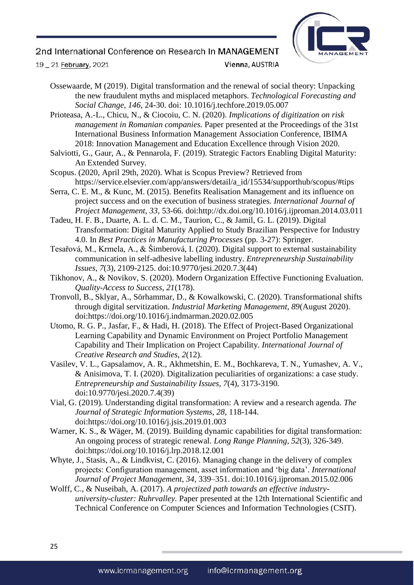

19 \_ 21 February, 2021

Vienna, AUSTRIA

Ossewaarde, M (2019). Digital transformation and the renewal of social theory: Unpacking the new fraudulent myths and misplaced metaphors. *Technological Forecasting and Social Change, 146*, 24-30. doi: 10.1016/j.techfore.2019.05.007

Prioteasa, A.-L., Chicu, N., & Ciocoiu, C. N. (2020). *Implications of digitization on risk management in Romanian companies.* Paper presented at the Proceedings of the 31st International Business Information Management Association Conference, IBIMA 2018: Innovation Management and Education Excellence through Vision 2020.

- Salviotti, G., Gaur, A., & Pennarola, F. (2019). Strategic Factors Enabling Digital Maturity: An Extended Survey.
- Scopus. (2020, April 29th, 2020). What is Scopus Preview? Retrieved from https://service.elsevier.com/app/answers/detail/a\_id/15534/supporthub/scopus/#tips
- Serra, C. E. M., & Kunc, M. (2015). Benefits Realisation Management and its influence on project success and on the execution of business strategies. *International Journal of Project Management, 33*, 53-66. doi:http://dx.doi.org/10.1016/j.ijproman.2014.03.011
- Tadeu, H. F. B., Duarte, A. L. d. C. M., Taurion, C., & Jamil, G. L. (2019). Digital Transformation: Digital Maturity Applied to Study Brazilian Perspective for Industry 4.0. In *Best Practices in Manufacturing Processes* (pp. 3-27): Springer.
- Tesařová, M., Krmela, A., & Šimberová, I. (2020). Digital support to external sustainability communication in self-adhesive labelling industry. *Entrepreneurship Sustainability Issues, 7*(3), 2109-2125. doi:10.9770/jesi.2020.7.3(44)
- Tikhonov, A., & Novikov, S. (2020). Modern Organization Effective Functioning Evaluation. *Quality-Access to Success, 21*(178).
- Tronvoll, B., Sklyar, A., Sörhammar, D., & Kowalkowski, C. (2020). Transformational shifts through digital servitization. *Industrial Marketing Management, 89*(August 2020). doi:https://doi.org/10.1016/j.indmarman.2020.02.005
- Utomo, R. G. P., Jasfar, F., & Hadi, H. (2018). The Effect of Project-Based Organizational Learning Capability and Dynamic Environment on Project Portfolio Management Capability and Their Implication on Project Capability. *International Journal of Creative Research and Studies, 2*(12).
- Vasilev, V. L., Gapsalamov, A. R., Akhmetshin, E. M., Bochkareva, T. N., Yumashev, A. V., & Anisimova, T. I. (2020). Digitalization peculiarities of organizations: a case study. *Entrepreneurship and Sustainability Issues, 7*(4), 3173-3190. doi:10.9770/jesi.2020.7.4(39)
- Vial, G. (2019). Understanding digital transformation: A review and a research agenda. *The Journal of Strategic Information Systems, 28*, 118-144. doi:https://doi.org/10.1016/j.jsis.2019.01.003
- Warner, K. S., & Wäger, M. (2019). Building dynamic capabilities for digital transformation: An ongoing process of strategic renewal. *Long Range Planning, 52*(3), 326-349. doi:https://doi.org/10.1016/j.lrp.2018.12.001
- Whyte, J., Stasis, A., & Lindkvist, C. (2016). Managing change in the delivery of complex projects: Configuration management, asset information and 'big data'. *International Journal of Project Management, 34*, 339–351. doi:10.1016/j.ijproman.2015.02.006
- Wolff, C., & Nuseibah, A. (2017). *A projectized path towards an effective industryuniversity-cluster: Ruhrvalley.* Paper presented at the 12th International Scientific and Technical Conference on Computer Sciences and Information Technologies (CSIT).